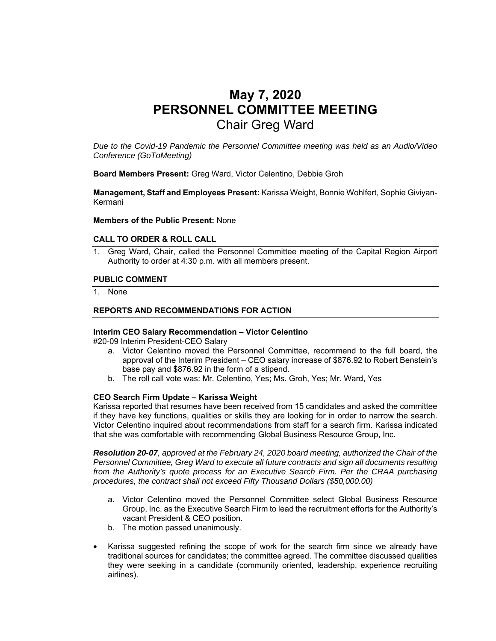# **May 7, 2020 PERSONNEL COMMITTEE MEETING**  Chair Greg Ward

*Due to the Covid-19 Pandemic the Personnel Committee meeting was held as an Audio/Video Conference (GoToMeeting)* 

**Board Members Present:** Greg Ward, Victor Celentino, Debbie Groh

**Management, Staff and Employees Present:** Karissa Weight, Bonnie Wohlfert, Sophie Giviyan-Kermani

**Members of the Public Present:** None

#### **CALL TO ORDER & ROLL CALL**

1. Greg Ward, Chair, called the Personnel Committee meeting of the Capital Region Airport Authority to order at 4:30 p.m. with all members present.

#### **PUBLIC COMMENT**

1. None

### **REPORTS AND RECOMMENDATIONS FOR ACTION**

#### **Interim CEO Salary Recommendation – Victor Celentino**

#20-09 Interim President-CEO Salary

- a. Victor Celentino moved the Personnel Committee, recommend to the full board, the approval of the Interim President – CEO salary increase of \$876.92 to Robert Benstein's base pay and \$876.92 in the form of a stipend.
- b. The roll call vote was: Mr. Celentino, Yes; Ms. Groh, Yes; Mr. Ward, Yes

#### **CEO Search Firm Update – Karissa Weight**

Karissa reported that resumes have been received from 15 candidates and asked the committee if they have key functions, qualities or skills they are looking for in order to narrow the search. Victor Celentino inquired about recommendations from staff for a search firm. Karissa indicated that she was comfortable with recommending Global Business Resource Group, Inc.

*Resolution 20-07, approved at the February 24, 2020 board meeting, authorized the Chair of the Personnel Committee, Greg Ward to execute all future contracts and sign all documents resulting from the Authority's quote process for an Executive Search Firm. Per the CRAA purchasing procedures, the contract shall not exceed Fifty Thousand Dollars (\$50,000.00)* 

- a. Victor Celentino moved the Personnel Committee select Global Business Resource Group, Inc. as the Executive Search Firm to lead the recruitment efforts for the Authority's vacant President & CEO position.
- b. The motion passed unanimously.
- Karissa suggested refining the scope of work for the search firm since we already have traditional sources for candidates; the committee agreed. The committee discussed qualities they were seeking in a candidate (community oriented, leadership, experience recruiting airlines).